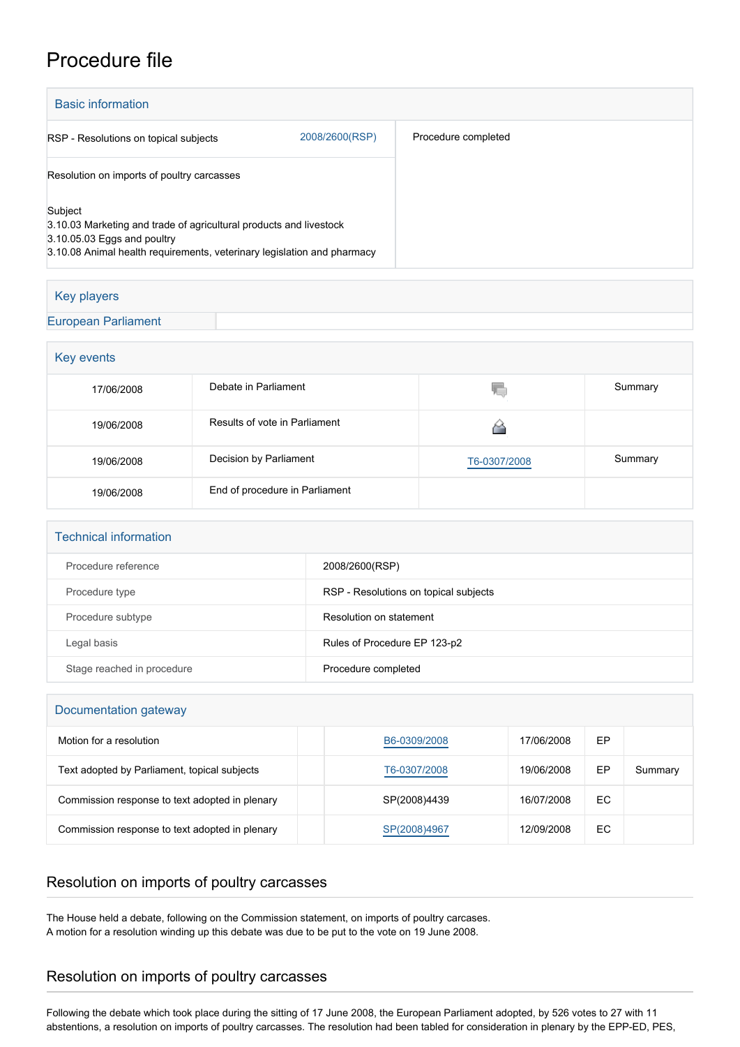## Procedure file

| <b>Basic information</b>                                                                                                                                                                |                |                     |  |  |
|-----------------------------------------------------------------------------------------------------------------------------------------------------------------------------------------|----------------|---------------------|--|--|
| RSP - Resolutions on topical subjects                                                                                                                                                   | 2008/2600(RSP) | Procedure completed |  |  |
| Resolution on imports of poultry carcasses                                                                                                                                              |                |                     |  |  |
| Subject<br>3.10.03 Marketing and trade of agricultural products and livestock<br>3.10.05.03 Eggs and poultry<br>3.10.08 Animal health requirements, veterinary legislation and pharmacy |                |                     |  |  |

## Key players [European Parliament](http://www.europarl.europa.eu/)

| Key events |                                |              |         |  |  |  |
|------------|--------------------------------|--------------|---------|--|--|--|
| 17/06/2008 | Debate in Parliament           | ۷C           | Summary |  |  |  |
| 19/06/2008 | Results of vote in Parliament  |              |         |  |  |  |
| 19/06/2008 | Decision by Parliament         | T6-0307/2008 | Summary |  |  |  |
| 19/06/2008 | End of procedure in Parliament |              |         |  |  |  |

| <b>Technical information</b> |                                       |  |  |  |
|------------------------------|---------------------------------------|--|--|--|
| Procedure reference          | 2008/2600(RSP)                        |  |  |  |
| Procedure type               | RSP - Resolutions on topical subjects |  |  |  |
| Procedure subtype            | Resolution on statement               |  |  |  |
| Legal basis                  | Rules of Procedure EP 123-p2          |  |  |  |
| Stage reached in procedure   | Procedure completed                   |  |  |  |

| Documentation gateway                          |              |            |    |         |  |  |  |
|------------------------------------------------|--------------|------------|----|---------|--|--|--|
| Motion for a resolution                        | B6-0309/2008 | 17/06/2008 | EP |         |  |  |  |
| Text adopted by Parliament, topical subjects   | T6-0307/2008 | 19/06/2008 | EP | Summary |  |  |  |
| Commission response to text adopted in plenary | SP(2008)4439 | 16/07/2008 | EC |         |  |  |  |
| Commission response to text adopted in plenary | SP(2008)4967 | 12/09/2008 | EC |         |  |  |  |

## Resolution on imports of poultry carcasses

The House held a debate, following on the Commission statement, on imports of poultry carcases. A motion for a resolution winding up this debate was due to be put to the vote on 19 June 2008.

## Resolution on imports of poultry carcasses

Following the debate which took place during the sitting of 17 June 2008, the European Parliament adopted, by 526 votes to 27 with 11 abstentions, a resolution on imports of poultry carcasses. The resolution had been tabled for consideration in plenary by the EPP-ED, PES,